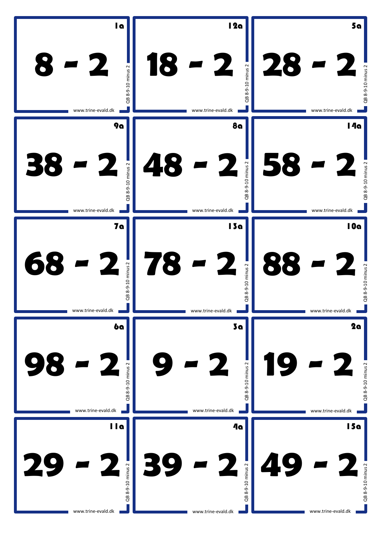